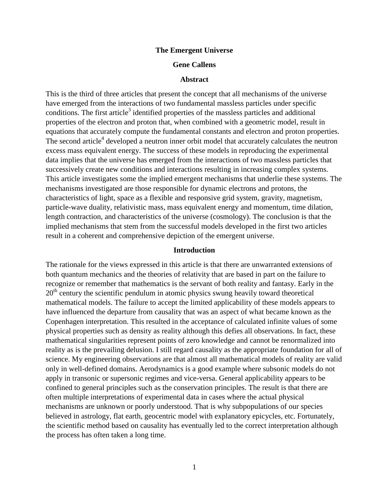## **The Emergent Universe**

# **Gene Callens**

### **Abstract**

This is the third of three articles that present the concept that all mechanisms of the universe have emerged from the interactions of two fundamental massless particles under specific conditions. The first article<sup>3</sup> identified properties of the massless particles and additional properties of the electron and proton that, when combined with a geometric model, result in equations that accurately compute the fundamental constants and electron and proton properties. The second article<sup>4</sup> developed a neutron inner orbit model that accurately calculates the neutron excess mass equivalent energy. The success of these models in reproducing the experimental data implies that the universe has emerged from the interactions of two massless particles that successively create new conditions and interactions resulting in increasing complex systems. This article investigates some the implied emergent mechanisms that underlie these systems. The mechanisms investigated are those responsible for dynamic electrons and protons, the characteristics of light, space as a flexible and responsive grid system, gravity, magnetism, particle-wave duality, relativistic mass, mass equivalent energy and momentum, time dilation, length contraction, and characteristics of the universe (cosmology). The conclusion is that the implied mechanisms that stem from the successful models developed in the first two articles result in a coherent and comprehensive depiction of the emergent universe.

### **Introduction**

The rationale for the views expressed in this article is that there are unwarranted extensions of both quantum mechanics and the theories of relativity that are based in part on the failure to recognize or remember that mathematics is the servant of both reality and fantasy. Early in the  $20<sup>th</sup>$  century the scientific pendulum in atomic physics swung heavily toward theoretical mathematical models. The failure to accept the limited applicability of these models appears to have influenced the departure from causality that was an aspect of what became known as the Copenhagen interpretation. This resulted in the acceptance of calculated infinite values of some physical properties such as density as reality although this defies all observations. In fact, these mathematical singularities represent points of zero knowledge and cannot be renormalized into reality as is the prevailing delusion. I still regard causality as the appropriate foundation for all of science. My engineering observations are that almost all mathematical models of reality are valid only in well-defined domains. Aerodynamics is a good example where subsonic models do not apply in transonic or supersonic regimes and vice-versa. General applicability appears to be confined to general principles such as the conservation principles. The result is that there are often multiple interpretations of experimental data in cases where the actual physical mechanisms are unknown or poorly understood. That is why subpopulations of our species believed in astrology, flat earth, geocentric model with explanatory epicycles, etc. Fortunately, the scientific method based on causality has eventually led to the correct interpretation although the process has often taken a long time.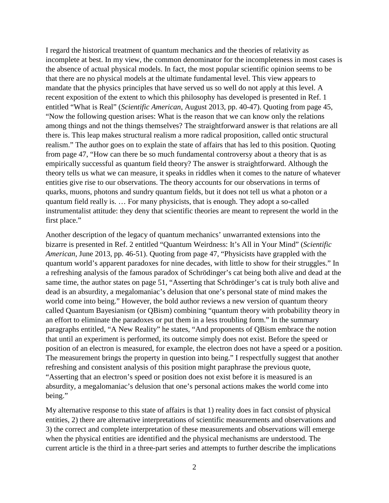I regard the historical treatment of quantum mechanics and the theories of relativity as incomplete at best. In my view, the common denominator for the incompleteness in most cases is the absence of actual physical models. In fact, the most popular scientific opinion seems to be that there are no physical models at the ultimate fundamental level. This view appears to mandate that the physics principles that have served us so well do not apply at this level. A recent exposition of the extent to which this philosophy has developed is presented in Ref. 1 entitled "What is Real" (*Scientific American*, August 2013, pp. 40-47). Quoting from page 45, "Now the following question arises: What is the reason that we can know only the relations among things and not the things themselves? The straightforward answer is that relations are all there is. This leap makes structural realism a more radical proposition, called ontic structural realism." The author goes on to explain the state of affairs that has led to this position. Quoting from page 47, "How can there be so much fundamental controversy about a theory that is as empirically successful as quantum field theory? The answer is straightforward. Although the theory tells us what we can measure, it speaks in riddles when it comes to the nature of whatever entities give rise to our observations. The theory accounts for our observations in terms of quarks, muons, photons and sundry quantum fields, but it does not tell us what a photon or a quantum field really is. … For many physicists, that is enough. They adopt a so-called instrumentalist attitude: they deny that scientific theories are meant to represent the world in the first place."

Another description of the legacy of quantum mechanics' unwarranted extensions into the bizarre is presented in Ref. 2 entitled "Quantum Weirdness: It's All in Your Mind" (*Scientific American*, June 2013, pp. 46-51). Quoting from page 47, "Physicists have grappled with the quantum world's apparent paradoxes for nine decades, with little to show for their struggles." In a refreshing analysis of the famous paradox of Schrödinger's cat being both alive and dead at the same time, the author states on page 51, "Asserting that Schrödinger's cat is truly both alive and dead is an absurdity, a megalomaniac's delusion that one's personal state of mind makes the world come into being." However, the bold author reviews a new version of quantum theory called Quantum Bayesianism (or QBism) combining "quantum theory with probability theory in an effort to eliminate the paradoxes or put them in a less troubling form." In the summary paragraphs entitled, "A New Reality" he states, "And proponents of QBism embrace the notion that until an experiment is performed, its outcome simply does not exist. Before the speed or position of an electron is measured, for example, the electron does not have a speed or a position. The measurement brings the property in question into being." I respectfully suggest that another refreshing and consistent analysis of this position might paraphrase the previous quote, "Asserting that an electron's speed or position does not exist before it is measured is an absurdity, a megalomaniac's delusion that one's personal actions makes the world come into being."

My alternative response to this state of affairs is that 1) reality does in fact consist of physical entities, 2) there are alternative interpretations of scientific measurements and observations and 3) the correct and complete interpretation of these measurements and observations will emerge when the physical entities are identified and the physical mechanisms are understood. The current article is the third in a three-part series and attempts to further describe the implications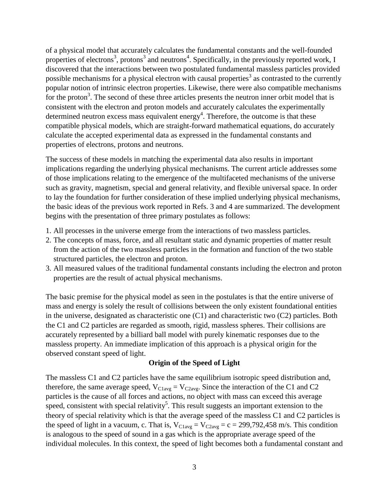of a physical model that accurately calculates the fundamental constants and the well-founded properties of electrons<sup>3</sup>, protons<sup>3</sup> and neutrons<sup>4</sup>. Specifically, in the previously reported work, I discovered that the interactions between two postulated fundamental massless particles provided possible mechanisms for a physical electron with causal properties<sup>3</sup> as contrasted to the currently popular notion of intrinsic electron properties. Likewise, there were also compatible mechanisms for the proton<sup>3</sup>. The second of these three articles presents the neutron inner orbit model that is consistent with the electron and proton models and accurately calculates the experimentally determined neutron excess mass equivalent energy<sup>4</sup>. Therefore, the outcome is that these compatible physical models, which are straight-forward mathematical equations, do accurately calculate the accepted experimental data as expressed in the fundamental constants and properties of electrons, protons and neutrons.

The success of these models in matching the experimental data also results in important implications regarding the underlying physical mechanisms. The current article addresses some of those implications relating to the emergence of the multifaceted mechanisms of the universe such as gravity, magnetism, special and general relativity, and flexible universal space. In order to lay the foundation for further consideration of these implied underlying physical mechanisms, the basic ideas of the previous work reported in Refs. 3 and 4 are summarized. The development begins with the presentation of three primary postulates as follows:

- 1. All processes in the universe emerge from the interactions of two massless particles.
- 2. The concepts of mass, force, and all resultant static and dynamic properties of matter result from the action of the two massless particles in the formation and function of the two stable structured particles, the electron and proton.
- 3. All measured values of the traditional fundamental constants including the electron and proton properties are the result of actual physical mechanisms.

The basic premise for the physical model as seen in the postulates is that the entire universe of mass and energy is solely the result of collisions between the only existent foundational entities in the universe, designated as characteristic one (C1) and characteristic two (C2) particles. Both the C1 and C2 particles are regarded as smooth, rigid, massless spheres. Their collisions are accurately represented by a billiard ball model with purely kinematic responses due to the massless property. An immediate implication of this approach is a physical origin for the observed constant speed of light.

# **Origin of the Speed of Light**

The massless C1 and C2 particles have the same equilibrium isotropic speed distribution and, therefore, the same average speed,  $V_{\text{Clavg}} = V_{\text{C2avg}}$ . Since the interaction of the C1 and C2 particles is the cause of all forces and actions, no object with mass can exceed this average speed, consistent with special relativity<sup>5</sup>. This result suggests an important extension to the theory of special relativity which is that the average speed of the massless C1 and C2 particles is the speed of light in a vacuum, c. That is,  $V_{\text{Clavg}} = V_{\text{C2avg}} = c = 299,792,458 \text{ m/s}$ . This condition is analogous to the speed of sound in a gas which is the appropriate average speed of the individual molecules. In this context, the speed of light becomes both a fundamental constant and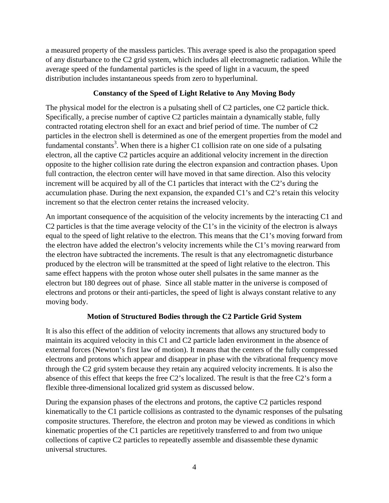a measured property of the massless particles. This average speed is also the propagation speed of any disturbance to the C2 grid system, which includes all electromagnetic radiation. While the average speed of the fundamental particles is the speed of light in a vacuum, the speed distribution includes instantaneous speeds from zero to hyperluminal.

# **Constancy of the Speed of Light Relative to Any Moving Body**

The physical model for the electron is a pulsating shell of C2 particles, one C2 particle thick. Specifically, a precise number of captive C2 particles maintain a dynamically stable, fully contracted rotating electron shell for an exact and brief period of time. The number of C2 particles in the electron shell is determined as one of the emergent properties from the model and fundamental constants<sup>3</sup>. When there is a higher C1 collision rate on one side of a pulsating electron, all the captive C2 particles acquire an additional velocity increment in the direction opposite to the higher collision rate during the electron expansion and contraction phases. Upon full contraction, the electron center will have moved in that same direction. Also this velocity increment will be acquired by all of the C1 particles that interact with the C2's during the accumulation phase. During the next expansion, the expanded C1's and C2's retain this velocity increment so that the electron center retains the increased velocity.

An important consequence of the acquisition of the velocity increments by the interacting C1 and C2 particles is that the time average velocity of the C1's in the vicinity of the electron is always equal to the speed of light relative to the electron. This means that the C1's moving forward from the electron have added the electron's velocity increments while the C1's moving rearward from the electron have subtracted the increments. The result is that any electromagnetic disturbance produced by the electron will be transmitted at the speed of light relative to the electron. This same effect happens with the proton whose outer shell pulsates in the same manner as the electron but 180 degrees out of phase. Since all stable matter in the universe is composed of electrons and protons or their anti-particles, the speed of light is always constant relative to any moving body.

# **Motion of Structured Bodies through the C2 Particle Grid System**

It is also this effect of the addition of velocity increments that allows any structured body to maintain its acquired velocity in this C1 and C2 particle laden environment in the absence of external forces (Newton's first law of motion). It means that the centers of the fully compressed electrons and protons which appear and disappear in phase with the vibrational frequency move through the C2 grid system because they retain any acquired velocity increments. It is also the absence of this effect that keeps the free C2's localized. The result is that the free C2's form a flexible three-dimensional localized grid system as discussed below.

During the expansion phases of the electrons and protons, the captive C2 particles respond kinematically to the C1 particle collisions as contrasted to the dynamic responses of the pulsating composite structures. Therefore, the electron and proton may be viewed as conditions in which kinematic properties of the C1 particles are repetitively transferred to and from two unique collections of captive C2 particles to repeatedly assemble and disassemble these dynamic universal structures.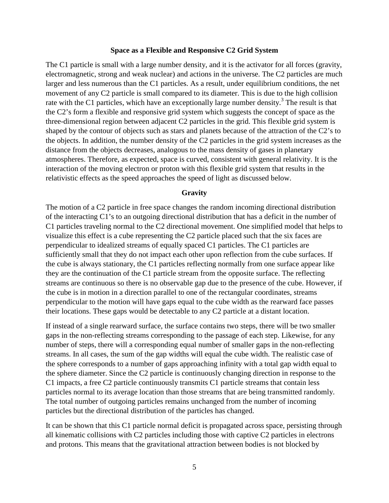## **Space as a Flexible and Responsive C2 Grid System**

The C1 particle is small with a large number density, and it is the activator for all forces (gravity, electromagnetic, strong and weak nuclear) and actions in the universe. The C2 particles are much larger and less numerous than the C1 particles. As a result, under equilibrium conditions, the net movement of any C2 particle is small compared to its diameter. This is due to the high collision rate with the C1 particles, which have an exceptionally large number density.<sup>3</sup> The result is that the C2's form a flexible and responsive grid system which suggests the concept of space as the three-dimensional region between adjacent C2 particles in the grid. This flexible grid system is shaped by the contour of objects such as stars and planets because of the attraction of the C2's to the objects. In addition, the number density of the C2 particles in the grid system increases as the distance from the objects decreases, analogous to the mass density of gases in planetary atmospheres. Therefore, as expected, space is curved, consistent with general relativity. It is the interaction of the moving electron or proton with this flexible grid system that results in the relativistic effects as the speed approaches the speed of light as discussed below.

# **Gravity**

The motion of a C2 particle in free space changes the random incoming directional distribution of the interacting C1's to an outgoing directional distribution that has a deficit in the number of C1 particles traveling normal to the C2 directional movement. One simplified model that helps to visualize this effect is a cube representing the C2 particle placed such that the six faces are perpendicular to idealized streams of equally spaced C1 particles. The C1 particles are sufficiently small that they do not impact each other upon reflection from the cube surfaces. If the cube is always stationary, the C1 particles reflecting normally from one surface appear like they are the continuation of the C1 particle stream from the opposite surface. The reflecting streams are continuous so there is no observable gap due to the presence of the cube. However, if the cube is in motion in a direction parallel to one of the rectangular coordinates, streams perpendicular to the motion will have gaps equal to the cube width as the rearward face passes their locations. These gaps would be detectable to any C2 particle at a distant location.

If instead of a single rearward surface, the surface contains two steps, there will be two smaller gaps in the non-reflecting streams corresponding to the passage of each step. Likewise, for any number of steps, there will a corresponding equal number of smaller gaps in the non-reflecting streams. In all cases, the sum of the gap widths will equal the cube width. The realistic case of the sphere corresponds to a number of gaps approaching infinity with a total gap width equal to the sphere diameter. Since the C2 particle is continuously changing direction in response to the C1 impacts, a free C2 particle continuously transmits C1 particle streams that contain less particles normal to its average location than those streams that are being transmitted randomly. The total number of outgoing particles remains unchanged from the number of incoming particles but the directional distribution of the particles has changed.

It can be shown that this C1 particle normal deficit is propagated across space, persisting through all kinematic collisions with C2 particles including those with captive C2 particles in electrons and protons. This means that the gravitational attraction between bodies is not blocked by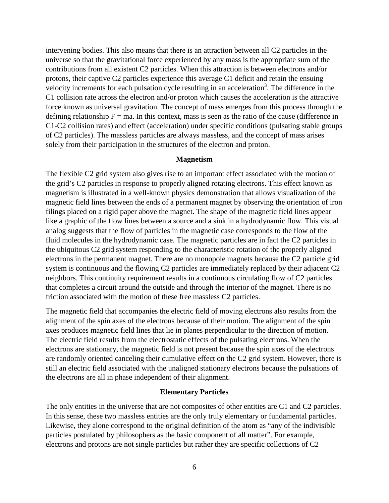intervening bodies. This also means that there is an attraction between all C2 particles in the universe so that the gravitational force experienced by any mass is the appropriate sum of the contributions from all existent C2 particles. When this attraction is between electrons and/or protons, their captive C2 particles experience this average C1 deficit and retain the ensuing velocity increments for each pulsation cycle resulting in an acceleration<sup>3</sup>. The difference in the C1 collision rate across the electron and/or proton which causes the acceleration is the attractive force known as universal gravitation. The concept of mass emerges from this process through the defining relationship  $F = ma$ . In this context, mass is seen as the ratio of the cause (difference in C1-C2 collision rates) and effect (acceleration) under specific conditions (pulsating stable groups of C2 particles). The massless particles are always massless, and the concept of mass arises solely from their participation in the structures of the electron and proton.

# **Magnetism**

The flexible C2 grid system also gives rise to an important effect associated with the motion of the grid's C2 particles in response to properly aligned rotating electrons. This effect known as magnetism is illustrated in a well-known physics demonstration that allows visualization of the magnetic field lines between the ends of a permanent magnet by observing the orientation of iron filings placed on a rigid paper above the magnet. The shape of the magnetic field lines appear like a graphic of the flow lines between a source and a sink in a hydrodynamic flow. This visual analog suggests that the flow of particles in the magnetic case corresponds to the flow of the fluid molecules in the hydrodynamic case. The magnetic particles are in fact the C2 particles in the ubiquitous C2 grid system responding to the characteristic rotation of the properly aligned electrons in the permanent magnet. There are no monopole magnets because the C2 particle grid system is continuous and the flowing C2 particles are immediately replaced by their adjacent C2 neighbors. This continuity requirement results in a continuous circulating flow of C2 particles that completes a circuit around the outside and through the interior of the magnet. There is no friction associated with the motion of these free massless C2 particles.

The magnetic field that accompanies the electric field of moving electrons also results from the alignment of the spin axes of the electrons because of their motion. The alignment of the spin axes produces magnetic field lines that lie in planes perpendicular to the direction of motion. The electric field results from the electrostatic effects of the pulsating electrons. When the electrons are stationary, the magnetic field is not present because the spin axes of the electrons are randomly oriented canceling their cumulative effect on the C2 grid system. However, there is still an electric field associated with the unaligned stationary electrons because the pulsations of the electrons are all in phase independent of their alignment.

## **Elementary Particles**

The only entities in the universe that are not composites of other entities are C1 and C2 particles. In this sense, these two massless entities are the only truly elementary or fundamental particles. Likewise, they alone correspond to the original definition of the atom as "any of the indivisible particles postulated by philosophers as the basic component of all matter". For example, electrons and protons are not single particles but rather they are specific collections of C2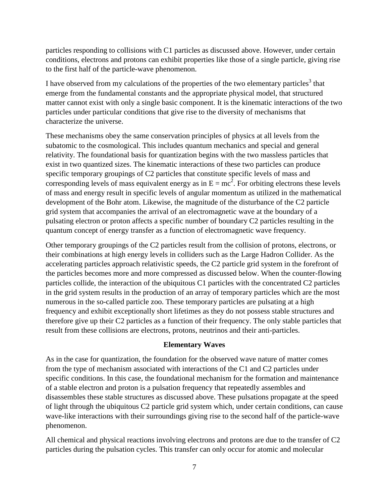particles responding to collisions with C1 particles as discussed above. However, under certain conditions, electrons and protons can exhibit properties like those of a single particle, giving rise to the first half of the particle-wave phenomenon.

I have observed from my calculations of the properties of the two elementary particles<sup>3</sup> that emerge from the fundamental constants and the appropriate physical model, that structured matter cannot exist with only a single basic component. It is the kinematic interactions of the two particles under particular conditions that give rise to the diversity of mechanisms that characterize the universe.

These mechanisms obey the same conservation principles of physics at all levels from the subatomic to the cosmological. This includes quantum mechanics and special and general relativity. The foundational basis for quantization begins with the two massless particles that exist in two quantized sizes. The kinematic interactions of these two particles can produce specific temporary groupings of C2 particles that constitute specific levels of mass and corresponding levels of mass equivalent energy as in  $E = mc^2$ . For orbiting electrons these levels of mass and energy result in specific levels of angular momentum as utilized in the mathematical development of the Bohr atom. Likewise, the magnitude of the disturbance of the C2 particle grid system that accompanies the arrival of an electromagnetic wave at the boundary of a pulsating electron or proton affects a specific number of boundary C2 particles resulting in the quantum concept of energy transfer as a function of electromagnetic wave frequency.

Other temporary groupings of the C2 particles result from the collision of protons, electrons, or their combinations at high energy levels in colliders such as the Large Hadron Collider. As the accelerating particles approach relativistic speeds, the C2 particle grid system in the forefront of the particles becomes more and more compressed as discussed below. When the counter-flowing particles collide, the interaction of the ubiquitous C1 particles with the concentrated C2 particles in the grid system results in the production of an array of temporary particles which are the most numerous in the so-called particle zoo. These temporary particles are pulsating at a high frequency and exhibit exceptionally short lifetimes as they do not possess stable structures and therefore give up their C2 particles as a function of their frequency. The only stable particles that result from these collisions are electrons, protons, neutrinos and their anti-particles.

# **Elementary Waves**

As in the case for quantization, the foundation for the observed wave nature of matter comes from the type of mechanism associated with interactions of the C1 and C2 particles under specific conditions. In this case, the foundational mechanism for the formation and maintenance of a stable electron and proton is a pulsation frequency that repeatedly assembles and disassembles these stable structures as discussed above. These pulsations propagate at the speed of light through the ubiquitous C2 particle grid system which, under certain conditions, can cause wave-like interactions with their surroundings giving rise to the second half of the particle-wave phenomenon.

All chemical and physical reactions involving electrons and protons are due to the transfer of C2 particles during the pulsation cycles. This transfer can only occur for atomic and molecular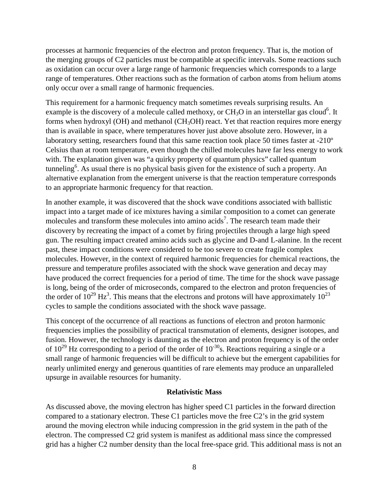processes at harmonic frequencies of the electron and proton frequency. That is, the motion of the merging groups of C2 particles must be compatible at specific intervals. Some reactions such as oxidation can occur over a large range of harmonic frequencies which corresponds to a large range of temperatures. Other reactions such as the formation of carbon atoms from helium atoms only occur over a small range of harmonic frequencies.

This requirement for a harmonic frequency match sometimes reveals surprising results. An example is the discovery of a molecule called methoxy, or  $CH_3O$  in an interstellar gas cloud<sup>6</sup>. It forms when hydroxyl (OH) and methanol (CH<sub>3</sub>OH) react. Yet that reaction requires more energy than is available in space, where temperatures hover just above absolute zero. However, in a laboratory setting, researchers found that this same reaction took place 50 times faster at -210º Celsius than at room temperature, even though the chilled molecules have far less energy to work with. The explanation given was "a quirky property of quantum physics" called quantum tunneling<sup>6</sup>. As usual there is no physical basis given for the existence of such a property. An alternative explanation from the emergent universe is that the reaction temperature corresponds to an appropriate harmonic frequency for that reaction.

In another example, it was discovered that the shock wave conditions associated with ballistic impact into a target made of ice mixtures having a similar composition to a comet can generate molecules and transform these molecules into amino acids<sup>7</sup>. The research team made their discovery by recreating the impact of a comet by firing projectiles through a large high speed gun. The resulting impact created amino acids such as glycine and D-and L-alanine. In the recent past, these impact conditions were considered to be too severe to create fragile complex molecules. However, in the context of required harmonic frequencies for chemical reactions, the pressure and temperature profiles associated with the shock wave generation and decay may have produced the correct frequencies for a period of time. The time for the shock wave passage is long, being of the order of microseconds, compared to the electron and proton frequencies of the order of  $10^{29}$  Hz<sup>3</sup>. This means that the electrons and protons will have approximately  $10^{23}$ cycles to sample the conditions associated with the shock wave passage.

This concept of the occurrence of all reactions as functions of electron and proton harmonic frequencies implies the possibility of practical transmutation of elements, designer isotopes, and fusion. However, the technology is daunting as the electron and proton frequency is of the order of  $10^{29}$  Hz corresponding to a period of the order of  $10^{-30}$ s. Reactions requiring a single or a small range of harmonic frequencies will be difficult to achieve but the emergent capabilities for nearly unlimited energy and generous quantities of rare elements may produce an unparalleled upsurge in available resources for humanity.

# **Relativistic Mass**

As discussed above, the moving electron has higher speed C1 particles in the forward direction compared to a stationary electron. These C1 particles move the free C2's in the grid system around the moving electron while inducing compression in the grid system in the path of the electron. The compressed C2 grid system is manifest as additional mass since the compressed grid has a higher C2 number density than the local free-space grid. This additional mass is not an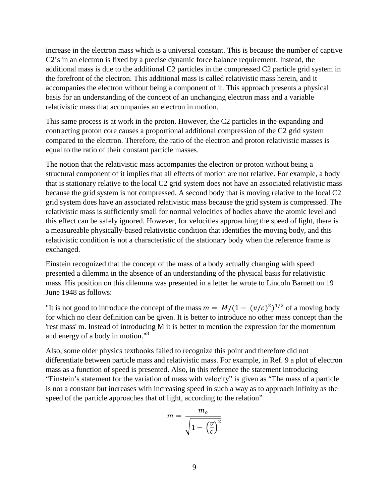increase in the electron mass which is a universal constant. This is because the number of captive C2's in an electron is fixed by a precise dynamic force balance requirement. Instead, the additional mass is due to the additional C2 particles in the compressed C2 particle grid system in the forefront of the electron. This additional mass is called relativistic mass herein, and it accompanies the electron without being a component of it. This approach presents a physical basis for an understanding of the concept of an unchanging electron mass and a variable relativistic mass that accompanies an electron in motion.

This same process is at work in the proton. However, the C2 particles in the expanding and contracting proton core causes a proportional additional compression of the C2 grid system compared to the electron. Therefore, the ratio of the electron and proton relativistic masses is equal to the ratio of their constant particle masses.

The notion that the relativistic mass accompanies the electron or proton without being a structural component of it implies that all effects of motion are not relative. For example, a body that is stationary relative to the local C2 grid system does not have an associated relativistic mass because the grid system is not compressed. A second body that is moving relative to the local C2 grid system does have an associated relativistic mass because the grid system is compressed. The relativistic mass is sufficiently small for normal velocities of bodies above the atomic level and this effect can be safely ignored. However, for velocities approaching the speed of light, there is a measureable physically-based relativistic condition that identifies the moving body, and this relativistic condition is not a characteristic of the stationary body when the reference frame is exchanged.

Einstein recognized that the concept of the mass of a body actually changing with speed presented a dilemma in the absence of an understanding of the physical basis for relativistic mass. His position on this dilemma was presented in a letter he wrote to Lincoln Barnett on 19 June 1948 as follows:

"It is not good to introduce the concept of the mass  $m = M/(1 - (v/c)^2)^{1/2}$  of a moving body for which no clear definition can be given. It is better to introduce no other mass concept than the 'rest mass' m. Instead of introducing M it is better to mention the expression for the momentum and energy of a body in motion."8

Also, some older physics textbooks failed to recognize this point and therefore did not differentiate between particle mass and relativistic mass. For example, in Ref. 9 a plot of electron mass as a function of speed is presented. Also, in this reference the statement introducing "Einstein's statement for the variation of mass with velocity" is given as "The mass of a particle is not a constant but increases with increasing speed in such a way as to approach infinity as the speed of the particle approaches that of light, according to the relation"

$$
m = \frac{m_o}{\sqrt{1 - \left(\frac{v}{c}\right)^2}}
$$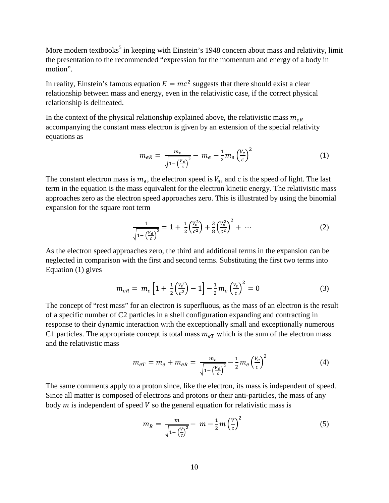More modern textbooks<sup>5</sup> in keeping with Einstein's 1948 concern about mass and relativity, limit the presentation to the recommended "expression for the momentum and energy of a body in motion".

In reality, Einstein's famous equation  $E = mc^2$  suggests that there should exist a clear relationship between mass and energy, even in the relativistic case, if the correct physical relationship is delineated.

In the context of the physical relationship explained above, the relativistic mass  $m_{eR}$ accompanying the constant mass electron is given by an extension of the special relativity equations as

$$
m_{eR} = \frac{m_e}{\sqrt{1 - \left(\frac{V_e}{c}\right)^2}} - m_e - \frac{1}{2} m_e \left(\frac{V_e}{c}\right)^2 \tag{1}
$$

The constant electron mass is  $m_e$ , the electron speed is  $V_e$ , and c is the speed of light. The last term in the equation is the mass equivalent for the electron kinetic energy. The relativistic mass approaches zero as the electron speed approaches zero. This is illustrated by using the binomial expansion for the square root term

$$
\frac{1}{\sqrt{1 - \left(\frac{V_e}{c}\right)^2}} = 1 + \frac{1}{2} \left(\frac{V_e^2}{c^2}\right) + \frac{3}{8} \left(\frac{V_e^2}{c^2}\right)^2 + \dots \tag{2}
$$

As the electron speed approaches zero, the third and additional terms in the expansion can be neglected in comparison with the first and second terms. Substituting the first two terms into Equation (1) gives

$$
m_{eR} = m_e \left[ 1 + \frac{1}{2} \left( \frac{V_e^2}{c^2} \right) - 1 \right] - \frac{1}{2} m_e \left( \frac{V_e}{c} \right)^2 = 0 \tag{3}
$$

The concept of "rest mass" for an electron is superfluous, as the mass of an electron is the result of a specific number of C2 particles in a shell configuration expanding and contracting in response to their dynamic interaction with the exceptionally small and exceptionally numerous C1 particles. The appropriate concept is total mass  $m_{eT}$  which is the sum of the electron mass and the relativistic mass

$$
m_{eT} = m_e + m_{eR} = \frac{m_e}{\sqrt{1 - \left(\frac{V_e}{c}\right)^2}} - \frac{1}{2} m_e \left(\frac{V_e}{c}\right)^2 \tag{4}
$$

The same comments apply to a proton since, like the electron, its mass is independent of speed. Since all matter is composed of electrons and protons or their anti-particles, the mass of any body  $m$  is independent of speed  $V$  so the general equation for relativistic mass is

$$
m_R = \frac{m}{\sqrt{1 - \left(\frac{V}{c}\right)^2}} - m - \frac{1}{2}m\left(\frac{V}{c}\right)^2
$$
 (5)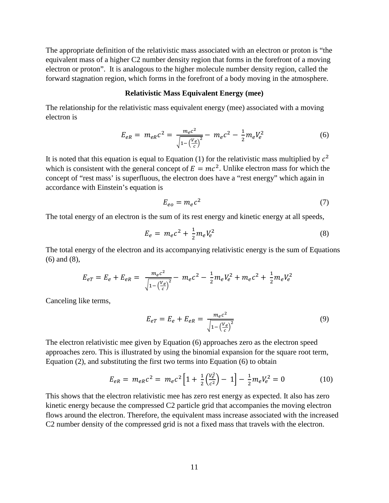The appropriate definition of the relativistic mass associated with an electron or proton is "the equivalent mass of a higher C2 number density region that forms in the forefront of a moving electron or proton". It is analogous to the higher molecule number density region, called the forward stagnation region, which forms in the forefront of a body moving in the atmosphere.

## **Relativistic Mass Equivalent Energy (mee)**

The relationship for the relativistic mass equivalent energy (mee) associated with a moving electron is

$$
E_{eR} = m_{eR}c^2 = \frac{m_e c^2}{\sqrt{1 - \left(\frac{V_e}{c}\right)^2}} - m_e c^2 - \frac{1}{2}m_e V_e^2
$$
 (6)

It is noted that this equation is equal to Equation (1) for the relativistic mass multiplied by  $c^2$ which is consistent with the general concept of  $E = mc^2$ . Unlike electron mass for which the concept of "rest mass' is superfluous, the electron does have a "rest energy" which again in accordance with Einstein's equation is

$$
E_{eo} = m_e c^2 \tag{7}
$$

The total energy of an electron is the sum of its rest energy and kinetic energy at all speeds,

$$
E_e = m_e c^2 + \frac{1}{2} m_e V_e^2
$$
 (8)

The total energy of the electron and its accompanying relativistic energy is the sum of Equations (6) and (8),

$$
E_{eT} = E_e + E_{eR} = \frac{m_e c^2}{\sqrt{1 - \left(\frac{V_e}{c}\right)^2}} - m_e c^2 - \frac{1}{2} m_e V_e^2 + m_e c^2 + \frac{1}{2} m_e V_e^2
$$

Canceling like terms,

$$
E_{eT} = E_e + E_{eR} = \frac{m_e c^2}{\sqrt{1 - \left(\frac{V_e}{c}\right)^2}}
$$
(9)

The electron relativistic mee given by Equation (6) approaches zero as the electron speed approaches zero. This is illustrated by using the binomial expansion for the square root term, Equation (2), and substituting the first two terms into Equation (6) to obtain

$$
E_{eR} = m_{eR}c^2 = m_e c^2 \left[ 1 + \frac{1}{2} \left( \frac{V_e^2}{c^2} \right) - 1 \right] - \frac{1}{2} m_e V_e^2 = 0 \tag{10}
$$

This shows that the electron relativistic mee has zero rest energy as expected. It also has zero kinetic energy because the compressed C2 particle grid that accompanies the moving electron flows around the electron. Therefore, the equivalent mass increase associated with the increased C2 number density of the compressed grid is not a fixed mass that travels with the electron.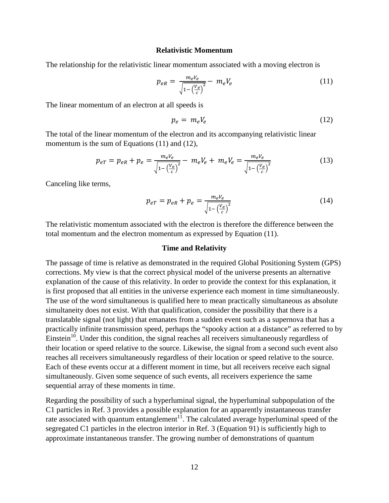### **Relativistic Momentum**

The relationship for the relativistic linear momentum associated with a moving electron is

$$
p_{eR} = \frac{m_e V_e}{\sqrt{1 - \left(\frac{V_e}{c}\right)^2}} - m_e V_e
$$
 (11)

The linear momentum of an electron at all speeds is

$$
p_e = m_e V_e \tag{12}
$$

The total of the linear momentum of the electron and its accompanying relativistic linear momentum is the sum of Equations (11) and (12),

$$
p_{eT} = p_{eR} + p_e = \frac{m_e V_e}{\sqrt{1 - \left(\frac{V_e}{c}\right)^2}} - m_e V_e + m_e V_e = \frac{m_e V_e}{\sqrt{1 - \left(\frac{V_e}{c}\right)^2}}
$$
(13)

Canceling like terms,

$$
p_{eT} = p_{eR} + p_e = \frac{m_e V_e}{\sqrt{1 - \left(\frac{V_e}{c}\right)^2}}
$$
(14)

The relativistic momentum associated with the electron is therefore the difference between the total momentum and the electron momentum as expressed by Equation (11).

### **Time and Relativity**

The passage of time is relative as demonstrated in the required Global Positioning System (GPS) corrections. My view is that the correct physical model of the universe presents an alternative explanation of the cause of this relativity. In order to provide the context for this explanation, it is first proposed that all entities in the universe experience each moment in time simultaneously. The use of the word simultaneous is qualified here to mean practically simultaneous as absolute simultaneity does not exist. With that qualification, consider the possibility that there is a translatable signal (not light) that emanates from a sudden event such as a supernova that has a practically infinite transmission speed, perhaps the "spooky action at a distance" as referred to by Einstein<sup>10</sup>. Under this condition, the signal reaches all receivers simultaneously regardless of their location or speed relative to the source. Likewise, the signal from a second such event also reaches all receivers simultaneously regardless of their location or speed relative to the source. Each of these events occur at a different moment in time, but all receivers receive each signal simultaneously. Given some sequence of such events, all receivers experience the same sequential array of these moments in time.

Regarding the possibility of such a hyperluminal signal, the hyperluminal subpopulation of the C1 particles in Ref. 3 provides a possible explanation for an apparently instantaneous transfer rate associated with quantum entanglement<sup>11</sup>. The calculated average hyperluminal speed of the segregated C1 particles in the electron interior in Ref. 3 (Equation 91) is sufficiently high to approximate instantaneous transfer. The growing number of demonstrations of quantum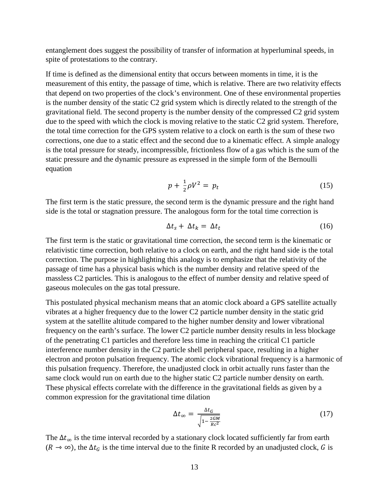entanglement does suggest the possibility of transfer of information at hyperluminal speeds, in spite of protestations to the contrary.

If time is defined as the dimensional entity that occurs between moments in time, it is the measurement of this entity, the passage of time, which is relative. There are two relativity effects that depend on two properties of the clock's environment. One of these environmental properties is the number density of the static C2 grid system which is directly related to the strength of the gravitational field. The second property is the number density of the compressed C2 grid system due to the speed with which the clock is moving relative to the static C2 grid system. Therefore, the total time correction for the GPS system relative to a clock on earth is the sum of these two corrections, one due to a static effect and the second due to a kinematic effect. A simple analogy is the total pressure for steady, incompressible, frictionless flow of a gas which is the sum of the static pressure and the dynamic pressure as expressed in the simple form of the Bernoulli equation

$$
p + \frac{1}{2}\rho V^2 = p_t \tag{15}
$$

The first term is the static pressure, the second term is the dynamic pressure and the right hand side is the total or stagnation pressure. The analogous form for the total time correction is

$$
\Delta t_s + \Delta t_k = \Delta t_t \tag{16}
$$

The first term is the static or gravitational time correction, the second term is the kinematic or relativistic time correction, both relative to a clock on earth, and the right hand side is the total correction. The purpose in highlighting this analogy is to emphasize that the relativity of the passage of time has a physical basis which is the number density and relative speed of the massless C2 particles. This is analogous to the effect of number density and relative speed of gaseous molecules on the gas total pressure.

This postulated physical mechanism means that an atomic clock aboard a GPS satellite actually vibrates at a higher frequency due to the lower C2 particle number density in the static grid system at the satellite altitude compared to the higher number density and lower vibrational frequency on the earth's surface. The lower C2 particle number density results in less blockage of the penetrating C1 particles and therefore less time in reaching the critical C1 particle interference number density in the C2 particle shell peripheral space, resulting in a higher electron and proton pulsation frequency. The atomic clock vibrational frequency is a harmonic of this pulsation frequency. Therefore, the unadjusted clock in orbit actually runs faster than the same clock would run on earth due to the higher static C2 particle number density on earth. These physical effects correlate with the difference in the gravitational fields as given by a common expression for the gravitational time dilation

$$
\Delta t_{\infty} = \frac{\Delta t_G}{\sqrt{1 - \frac{2GM}{Rc^2}}} \tag{17}
$$

The  $\Delta t_{\infty}$  is the time interval recorded by a stationary clock located sufficiently far from earth  $(R \to \infty)$ , the  $\Delta t_G$  is the time interval due to the finite R recorded by an unadjusted clock, G is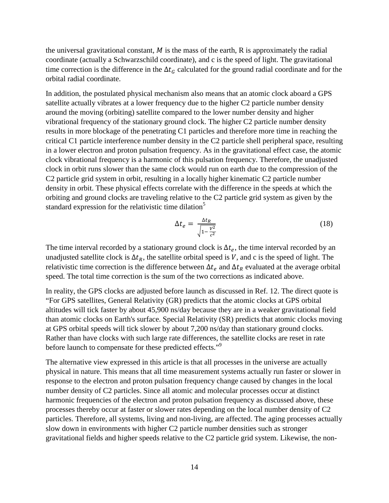the universal gravitational constant,  $M$  is the mass of the earth,  $R$  is approximately the radial coordinate (actually a Schwarzschild coordinate), and c is the speed of light. The gravitational time correction is the difference in the  $\Delta t_G$  calculated for the ground radial coordinate and for the orbital radial coordinate.

In addition, the postulated physical mechanism also means that an atomic clock aboard a GPS satellite actually vibrates at a lower frequency due to the higher C2 particle number density around the moving (orbiting) satellite compared to the lower number density and higher vibrational frequency of the stationary ground clock. The higher C2 particle number density results in more blockage of the penetrating C1 particles and therefore more time in reaching the critical C1 particle interference number density in the C2 particle shell peripheral space, resulting in a lower electron and proton pulsation frequency. As in the gravitational effect case, the atomic clock vibrational frequency is a harmonic of this pulsation frequency. Therefore, the unadjusted clock in orbit runs slower than the same clock would run on earth due to the compression of the C2 particle grid system in orbit, resulting in a locally higher kinematic C2 particle number density in orbit. These physical effects correlate with the difference in the speeds at which the orbiting and ground clocks are traveling relative to the C2 particle grid system as given by the standard expression for the relativistic time dilation<sup>5</sup>

$$
\Delta t_e = \frac{\Delta t_R}{\sqrt{1 - \frac{V^2}{c^2}}} \tag{18}
$$

The time interval recorded by a stationary ground clock is  $\Delta t_e$ , the time interval recorded by an unadjusted satellite clock is  $\Delta t_R$ , the satellite orbital speed is V, and c is the speed of light. The relativistic time correction is the difference between  $\Delta t_e$  and  $\Delta t_R$  evaluated at the average orbital speed. The total time correction is the sum of the two corrections as indicated above.

In reality, the GPS clocks are adjusted before launch as discussed in Ref. 12. The direct quote is "For GPS satellites, General Relativity (GR) predicts that the atomic clocks at GPS orbital altitudes will tick faster by about 45,900 ns/day because they are in a weaker gravitational field than atomic clocks on Earth's surface. Special Relativity (SR) predicts that atomic clocks moving at GPS orbital speeds will tick slower by about 7,200 ns/day than stationary ground clocks. Rather than have clocks with such large rate differences, the satellite clocks are reset in rate before launch to compensate for these predicted effects."<sup>9</sup>

The alternative view expressed in this article is that all processes in the universe are actually physical in nature. This means that all time measurement systems actually run faster or slower in response to the electron and proton pulsation frequency change caused by changes in the local number density of C2 particles. Since all atomic and molecular processes occur at distinct harmonic frequencies of the electron and proton pulsation frequency as discussed above, these processes thereby occur at faster or slower rates depending on the local number density of C2 particles. Therefore, all systems, living and non-living, are affected. The aging processes actually slow down in environments with higher C2 particle number densities such as stronger gravitational fields and higher speeds relative to the C2 particle grid system. Likewise, the non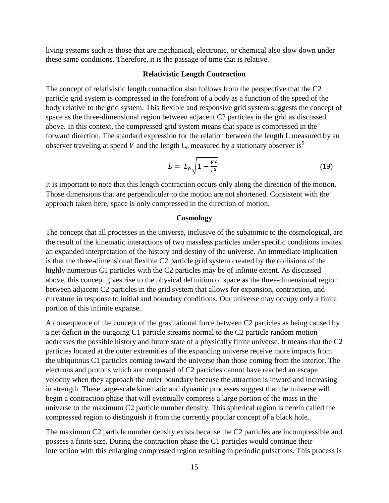living systems such as those that are mechanical, electronic, or chemical also slow down under these same conditions. Therefore, it is the passage of time that is relative.

## **Relativistic Length Contraction**

The concept of relativistic length contraction also follows from the perspective that the C2 particle grid system is compressed in the forefront of a body as a function of the speed of the body relative to the grid system. This flexible and responsive grid system suggests the concept of space as the three-dimensional region between adjacent C2 particles in the grid as discussed above. In this context, the compressed grid system means that space is compressed in the forward direction. The standard expression for the relation between the length L measured by an observer traveling at speed V and the length  $L_0$  measured by a stationary observer is<sup>5</sup>

$$
L = L_o \sqrt{1 - \frac{v^2}{c^2}} \tag{19}
$$

It is important to note that this length contraction occurs only along the direction of the motion. Those dimensions that are perpendicular to the motion are not shortened. Consistent with the approach taken here, space is only compressed in the direction of motion.

#### **Cosmology**

The concept that all processes in the universe, inclusive of the subatomic to the cosmological, are the result of the kinematic interactions of two massless particles under specific conditions invites an expanded interpretation of the history and destiny of the universe. An immediate implication is that the three-dimensional flexible C2 particle grid system created by the collisions of the highly numerous C1 particles with the C2 particles may be of infinite extent. As discussed above, this concept gives rise to the physical definition of space as the three-dimensional region between adjacent C2 particles in the grid system that allows for expansion, contraction, and curvature in response to initial and boundary conditions. Our universe may occupy only a finite portion of this infinite expanse.

A consequence of the concept of the gravitational force between C2 particles as being caused by a net deficit in the outgoing C1 particle streams normal to the C2 particle random motion addresses the possible history and future state of a physically finite universe. It means that the C2 particles located at the outer extremities of the expanding universe receive more impacts from the ubiquitous C1 particles coming toward the universe than those coming from the interior. The electrons and protons which are composed of C2 particles cannot have reached an escape velocity when they approach the outer boundary because the attraction is inward and increasing in strength. These large-scale kinematic and dynamic processes suggest that the universe will begin a contraction phase that will eventually compress a large portion of the mass in the universe to the maximum C2 particle number density. This spherical region is herein called the compressed region to distinguish it from the currently popular concept of a black hole.

The maximum C2 particle number density exists because the C2 particles are incompressible and possess a finite size. During the contraction phase the C1 particles would continue their interaction with this enlarging compressed region resulting in periodic pulsations. This process is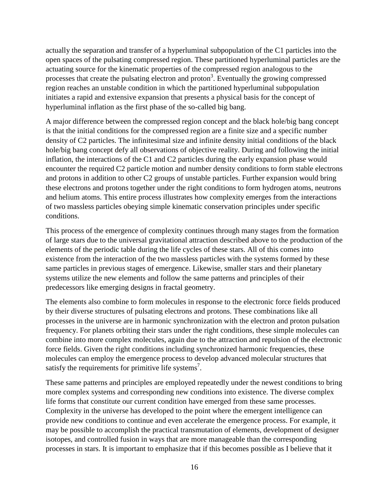actually the separation and transfer of a hyperluminal subpopulation of the C1 particles into the open spaces of the pulsating compressed region. These partitioned hyperluminal particles are the actuating source for the kinematic properties of the compressed region analogous to the processes that create the pulsating electron and proton<sup>3</sup>. Eventually the growing compressed region reaches an unstable condition in which the partitioned hyperluminal subpopulation initiates a rapid and extensive expansion that presents a physical basis for the concept of hyperluminal inflation as the first phase of the so-called big bang.

A major difference between the compressed region concept and the black hole/big bang concept is that the initial conditions for the compressed region are a finite size and a specific number density of C2 particles. The infinitesimal size and infinite density initial conditions of the black hole/big bang concept defy all observations of objective reality. During and following the initial inflation, the interactions of the C1 and C2 particles during the early expansion phase would encounter the required C2 particle motion and number density conditions to form stable electrons and protons in addition to other C2 groups of unstable particles. Further expansion would bring these electrons and protons together under the right conditions to form hydrogen atoms, neutrons and helium atoms. This entire process illustrates how complexity emerges from the interactions of two massless particles obeying simple kinematic conservation principles under specific conditions.

This process of the emergence of complexity continues through many stages from the formation of large stars due to the universal gravitational attraction described above to the production of the elements of the periodic table during the life cycles of these stars. All of this comes into existence from the interaction of the two massless particles with the systems formed by these same particles in previous stages of emergence. Likewise, smaller stars and their planetary systems utilize the new elements and follow the same patterns and principles of their predecessors like emerging designs in fractal geometry.

The elements also combine to form molecules in response to the electronic force fields produced by their diverse structures of pulsating electrons and protons. These combinations like all processes in the universe are in harmonic synchronization with the electron and proton pulsation frequency. For planets orbiting their stars under the right conditions, these simple molecules can combine into more complex molecules, again due to the attraction and repulsion of the electronic force fields. Given the right conditions including synchronized harmonic frequencies, these molecules can employ the emergence process to develop advanced molecular structures that satisfy the requirements for primitive life systems<sup>7</sup>.

These same patterns and principles are employed repeatedly under the newest conditions to bring more complex systems and corresponding new conditions into existence. The diverse complex life forms that constitute our current condition have emerged from these same processes. Complexity in the universe has developed to the point where the emergent intelligence can provide new conditions to continue and even accelerate the emergence process. For example, it may be possible to accomplish the practical transmutation of elements, development of designer isotopes, and controlled fusion in ways that are more manageable than the corresponding processes in stars. It is important to emphasize that if this becomes possible as I believe that it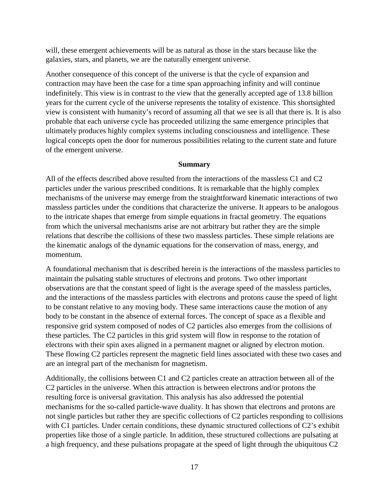will, these emergent achievements will be as natural as those in the stars because like the galaxies, stars, and planets, we are the naturally emergent universe.

Another consequence of this concept of the universe is that the cycle of expansion and contraction may have been the case for a time span approaching infinity and will continue indefinitely. This view is in contrast to the view that the generally accepted age of 13.8 billion years for the current cycle of the universe represents the totality of existence. This shortsighted view is consistent with humanity's record of assuming all that we see is all that there is. It is also probable that each universe cycle has proceeded utilizing the same emergence principles that ultimately produces highly complex systems including consciousness and intelligence. These logical concepts open the door for numerous possibilities relating to the current state and future of the emergent universe.

# **Summary**

All of the effects described above resulted from the interactions of the massless C1 and C2 particles under the various prescribed conditions. It is remarkable that the highly complex mechanisms of the universe may emerge from the straightforward kinematic interactions of two massless particles under the conditions that characterize the universe. It appears to be analogous to the intricate shapes that emerge from simple equations in fractal geometry. The equations from which the universal mechanisms arise are not arbitrary but rather they are the simple relations that describe the collisions of these two massless particles. These simple relations are the kinematic analogs of the dynamic equations for the conservation of mass, energy, and momentum.

A foundational mechanism that is described herein is the interactions of the massless particles to maintain the pulsating stable structures of electrons and protons. Two other important observations are that the constant speed of light is the average speed of the massless particles, and the interactions of the massless particles with electrons and protons cause the speed of light to be constant relative to any moving body. These same interactions cause the motion of any body to be constant in the absence of external forces. The concept of space as a flexible and responsive grid system composed of nodes of C2 particles also emerges from the collisions of these particles. The C2 particles in this grid system will flow in response to the rotation of electrons with their spin axes aligned in a permanent magnet or aligned by electron motion. These flowing C2 particles represent the magnetic field lines associated with these two cases and are an integral part of the mechanism for magnetism.

Additionally, the collisions between C1 and C2 particles create an attraction between all of the C2 particles in the universe. When this attraction is between electrons and/or protons the resulting force is universal gravitation. This analysis has also addressed the potential mechanisms for the so-called particle-wave duality. It has shown that electrons and protons are not single particles but rather they are specific collections of C2 particles responding to collisions with C1 particles. Under certain conditions, these dynamic structured collections of C2's exhibit properties like those of a single particle. In addition, these structured collections are pulsating at a high frequency, and these pulsations propagate at the speed of light through the ubiquitous C2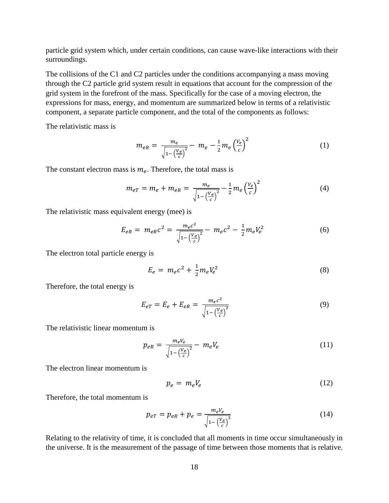particle grid system which, under certain conditions, can cause wave-like interactions with their surroundings.

The collisions of the C1 and C2 particles under the conditions accompanying a mass moving through the C2 particle grid system result in equations that account for the compression of the grid system in the forefront of the mass. Specifically for the case of a moving electron, the expressions for mass, energy, and momentum are summarized below in terms of a relativistic component, a separate particle component, and the total of the components as follows:

The relativistic mass is

$$
m_{eR} = \frac{m_e}{\sqrt{1 - \left(\frac{V_e}{c}\right)^2}} - m_e - \frac{1}{2} m_e \left(\frac{V_e}{c}\right)^2
$$
 (1)

The constant electron mass is  $m_e$ . Therefore, the total mass is

$$
m_{eT} = m_e + m_{eR} = \frac{m_e}{\sqrt{1 - \left(\frac{V_e}{c}\right)^2}} - \frac{1}{2} m_e \left(\frac{V_e}{c}\right)^2 \tag{4}
$$

The relativistic mass equivalent energy (mee) is

$$
E_{eR} = m_{eR}c^2 = \frac{m_{e}c^2}{\sqrt{1 - \left(\frac{V_e}{c}\right)^2}} - m_{e}c^2 - \frac{1}{2}m_{e}V_e^2
$$
 (6)

The electron total particle energy is

$$
E_e = m_e c^2 + \frac{1}{2} m_e V_e^2
$$
 (8)

Therefore, the total energy is

$$
E_{eT} = E_e + E_{eR} = \frac{m_e c^2}{\sqrt{1 - \left(\frac{V_e}{c}\right)^2}}
$$
(9)

The relativistic linear momentum is

$$
p_{eR} = \frac{m_e V_e}{\sqrt{1 - \left(\frac{V_e}{c}\right)^2}} - m_e V_e
$$
 (11)

The electron linear momentum is

$$
p_e = m_e V_e \tag{12}
$$

Therefore, the total momentum is

$$
p_{eT} = p_{eR} + p_e = \frac{m_e V_e}{\sqrt{1 - \left(\frac{V_e}{c}\right)^2}}
$$
(14)

Relating to the relativity of time, it is concluded that all moments in time occur simultaneously in the universe. It is the measurement of the passage of time between those moments that is relative.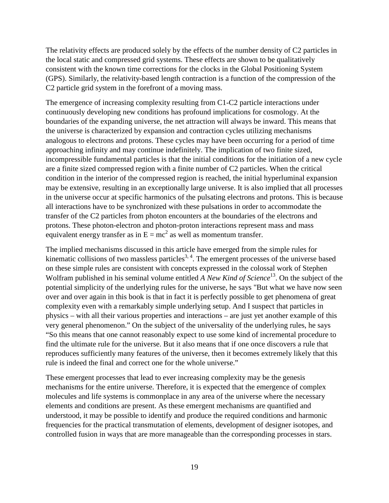The relativity effects are produced solely by the effects of the number density of C2 particles in the local static and compressed grid systems. These effects are shown to be qualitatively consistent with the known time corrections for the clocks in the Global Positioning System (GPS). Similarly, the relativity-based length contraction is a function of the compression of the C2 particle grid system in the forefront of a moving mass.

The emergence of increasing complexity resulting from C1-C2 particle interactions under continuously developing new conditions has profound implications for cosmology. At the boundaries of the expanding universe, the net attraction will always be inward. This means that the universe is characterized by expansion and contraction cycles utilizing mechanisms analogous to electrons and protons. These cycles may have been occurring for a period of time approaching infinity and may continue indefinitely. The implication of two finite sized, incompressible fundamental particles is that the initial conditions for the initiation of a new cycle are a finite sized compressed region with a finite number of C2 particles. When the critical condition in the interior of the compressed region is reached, the initial hyperluminal expansion may be extensive, resulting in an exceptionally large universe. It is also implied that all processes in the universe occur at specific harmonics of the pulsating electrons and protons. This is because all interactions have to be synchronized with these pulsations in order to accommodate the transfer of the C2 particles from photon encounters at the boundaries of the electrons and protons. These photon-electron and photon-proton interactions represent mass and mass equivalent energy transfer as in  $E = mc^2$  as well as momentum transfer.

The implied mechanisms discussed in this article have emerged from the simple rules for kinematic collisions of two massless particles<sup>3, 4</sup>. The emergent processes of the universe based on these simple rules are consistent with concepts expressed in the colossal work of Stephen Wolfram published in his seminal volume entitled *A New Kind of Science*13. On the subject of the potential simplicity of the underlying rules for the universe, he says "But what we have now seen over and over again in this book is that in fact it is perfectly possible to get phenomena of great complexity even with a remarkably simple underlying setup. And I suspect that particles in physics – with all their various properties and interactions – are just yet another example of this very general phenomenon." On the subject of the universality of the underlying rules, he says "So this means that one cannot reasonably expect to use some kind of incremental procedure to find the ultimate rule for the universe. But it also means that if one once discovers a rule that reproduces sufficiently many features of the universe, then it becomes extremely likely that this rule is indeed the final and correct one for the whole universe."

These emergent processes that lead to ever increasing complexity may be the genesis mechanisms for the entire universe. Therefore, it is expected that the emergence of complex molecules and life systems is commonplace in any area of the universe where the necessary elements and conditions are present. As these emergent mechanisms are quantified and understood, it may be possible to identify and produce the required conditions and harmonic frequencies for the practical transmutation of elements, development of designer isotopes, and controlled fusion in ways that are more manageable than the corresponding processes in stars.